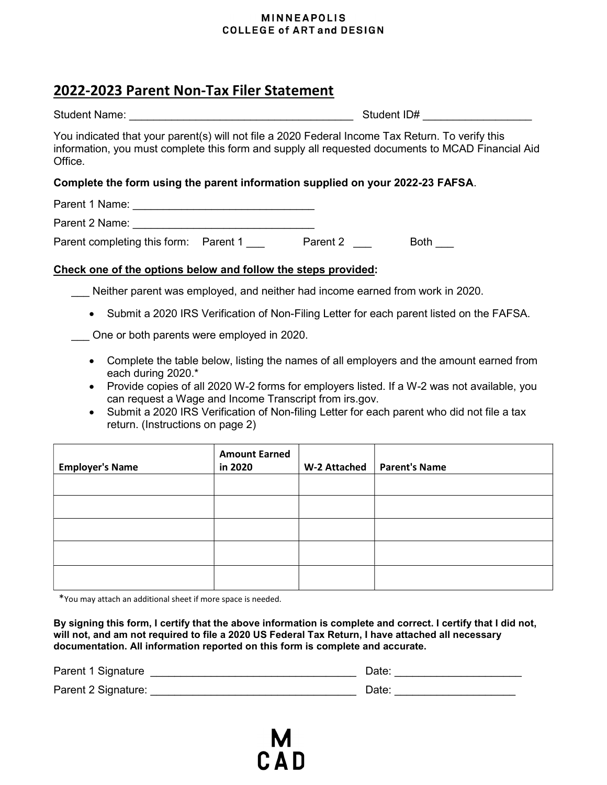#### **MINNEAPOLIS COLLEGE of ART and DESIGN**

# 2022-2023 Parent Non-Tax Filer Statement

| <b>Student Name:</b> | Student ID# |
|----------------------|-------------|
|                      |             |

You indicated that your parent(s) will not file a 2020 Federal Income Tax Return. To verify this information, you must complete this form and supply all requested documents to MCAD Financial Aid Office.

### Complete the form using the parent information supplied on your 2022-23 FAFSA.

Parent 1 Name: \_\_\_\_\_\_\_\_\_\_\_\_\_\_\_\_\_\_\_\_\_\_\_\_\_\_\_\_\_\_

Parent 2 Name: \_\_\_\_\_\_\_\_\_\_\_\_\_\_\_\_\_\_\_\_\_\_\_\_\_\_\_\_\_\_

Parent completing this form: Parent 1 \_\_\_ Parent 2 \_\_ Both \_\_

### Check one of the options below and follow the steps provided:

Neither parent was employed, and neither had income earned from work in 2020.

• Submit a 2020 IRS Verification of Non-Filing Letter for each parent listed on the FAFSA.

\_\_\_ One or both parents were employed in 2020.

- Complete the table below, listing the names of all employers and the amount earned from each during 2020.\*
- Provide copies of all 2020 W-2 forms for employers listed. If a W-2 was not available, you can request a Wage and Income Transcript from irs.gov.
- Submit a 2020 IRS Verification of Non-filing Letter for each parent who did not file a tax return. (Instructions on page 2)

| <b>Employer's Name</b> | <b>Amount Earned</b><br>in 2020 | W-2 Attached | <b>Parent's Name</b> |
|------------------------|---------------------------------|--------------|----------------------|
|                        |                                 |              |                      |
|                        |                                 |              |                      |
|                        |                                 |              |                      |
|                        |                                 |              |                      |
|                        |                                 |              |                      |

\*You may attach an additional sheet if more space is needed.

By signing this form, I certify that the above information is complete and correct. I certify that I did not, will not, and am not required to file a 2020 US Federal Tax Return, I have attached all necessary documentation. All information reported on this form is complete and accurate.

| Parent 1 Signature  | Date. |
|---------------------|-------|
| Parent 2 Signature: | Date. |

 $C$  A D